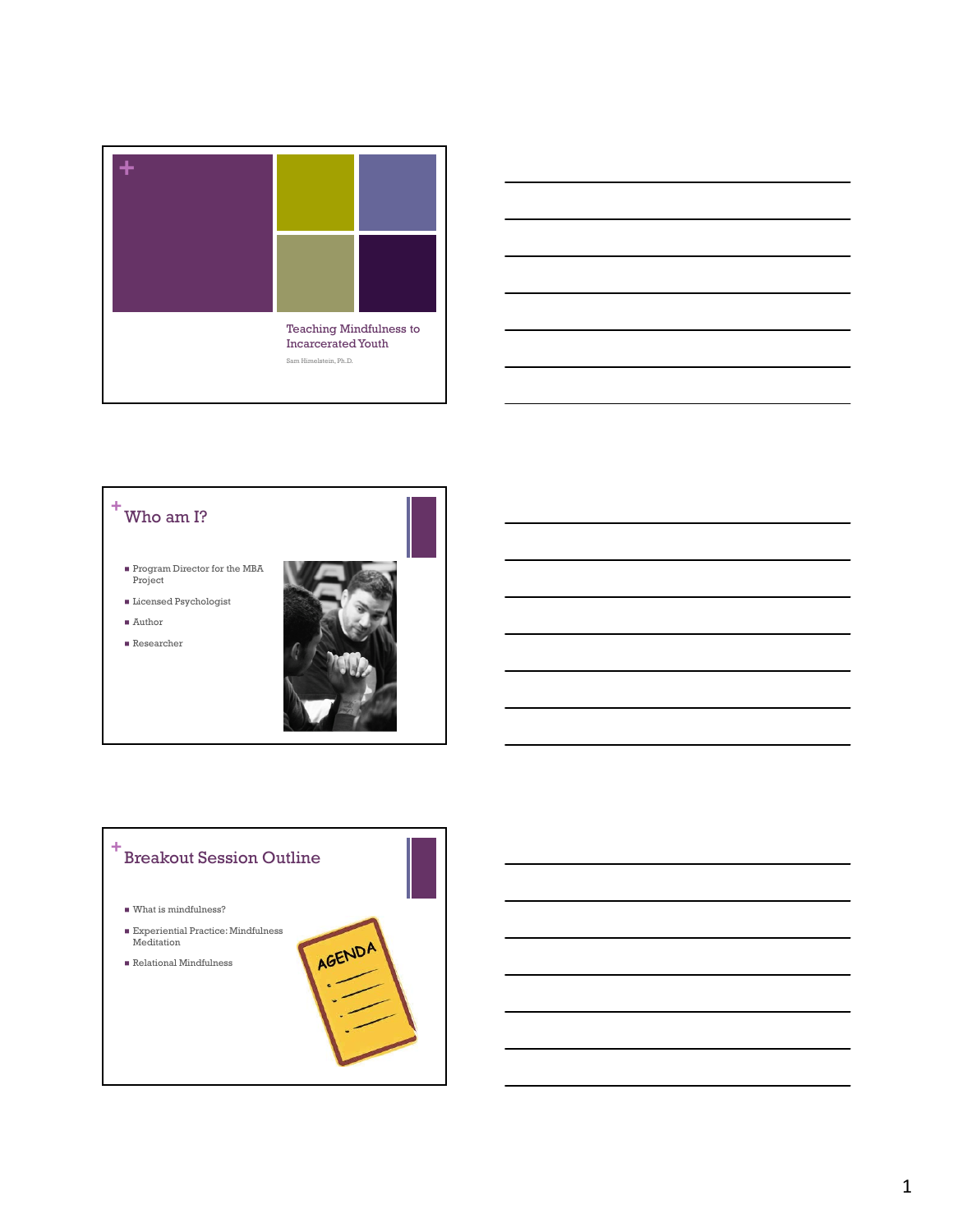





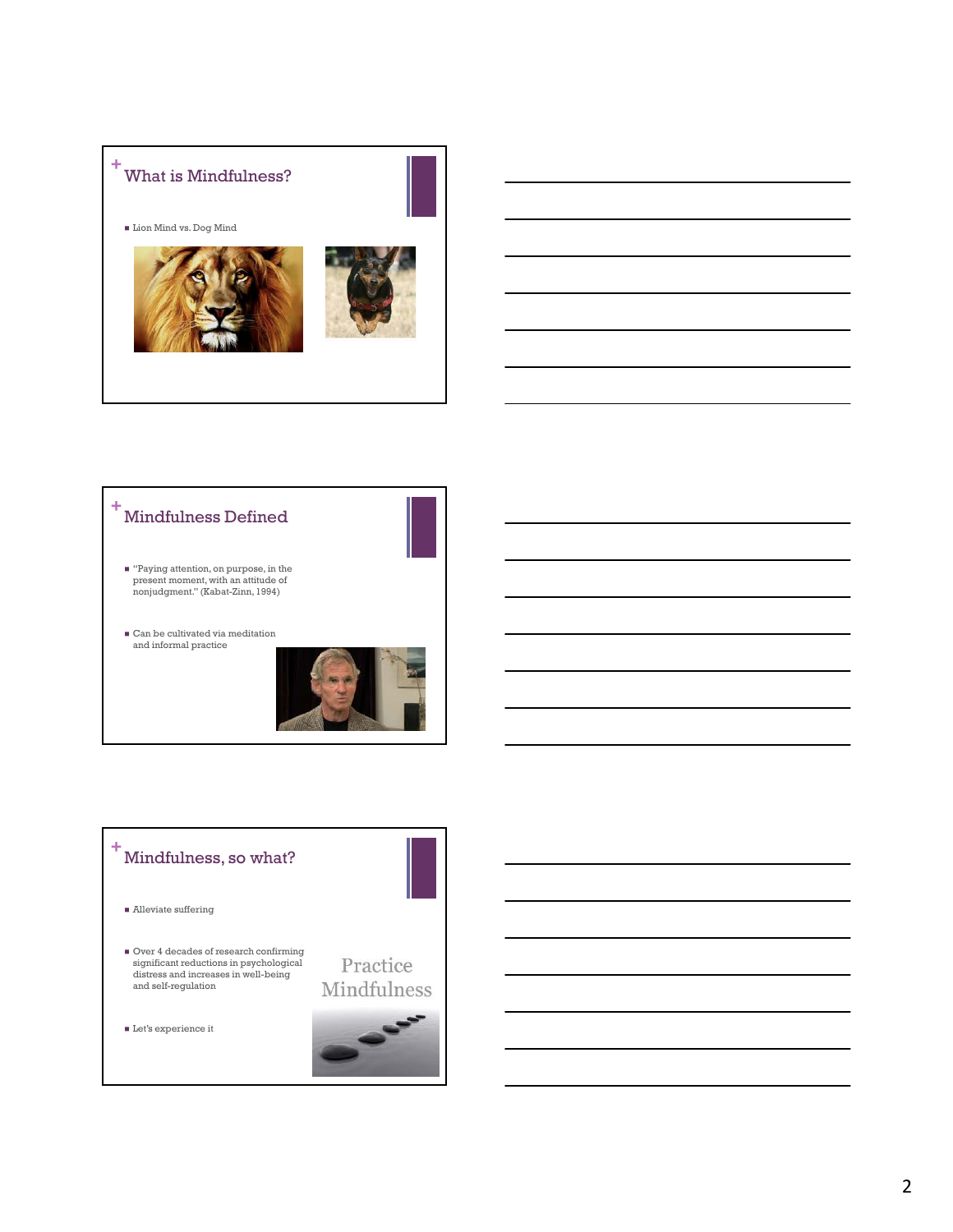



## **+** Mindfulness, so what?

- $\blacksquare$ <br> <br> Alleviate suffering
- Over 4 decades of research confirming significant reductions in psychological distress and increases in well-being and self-regulation

Practice Mindfulness

 $\blacksquare$ <br> <br> Let's experience it

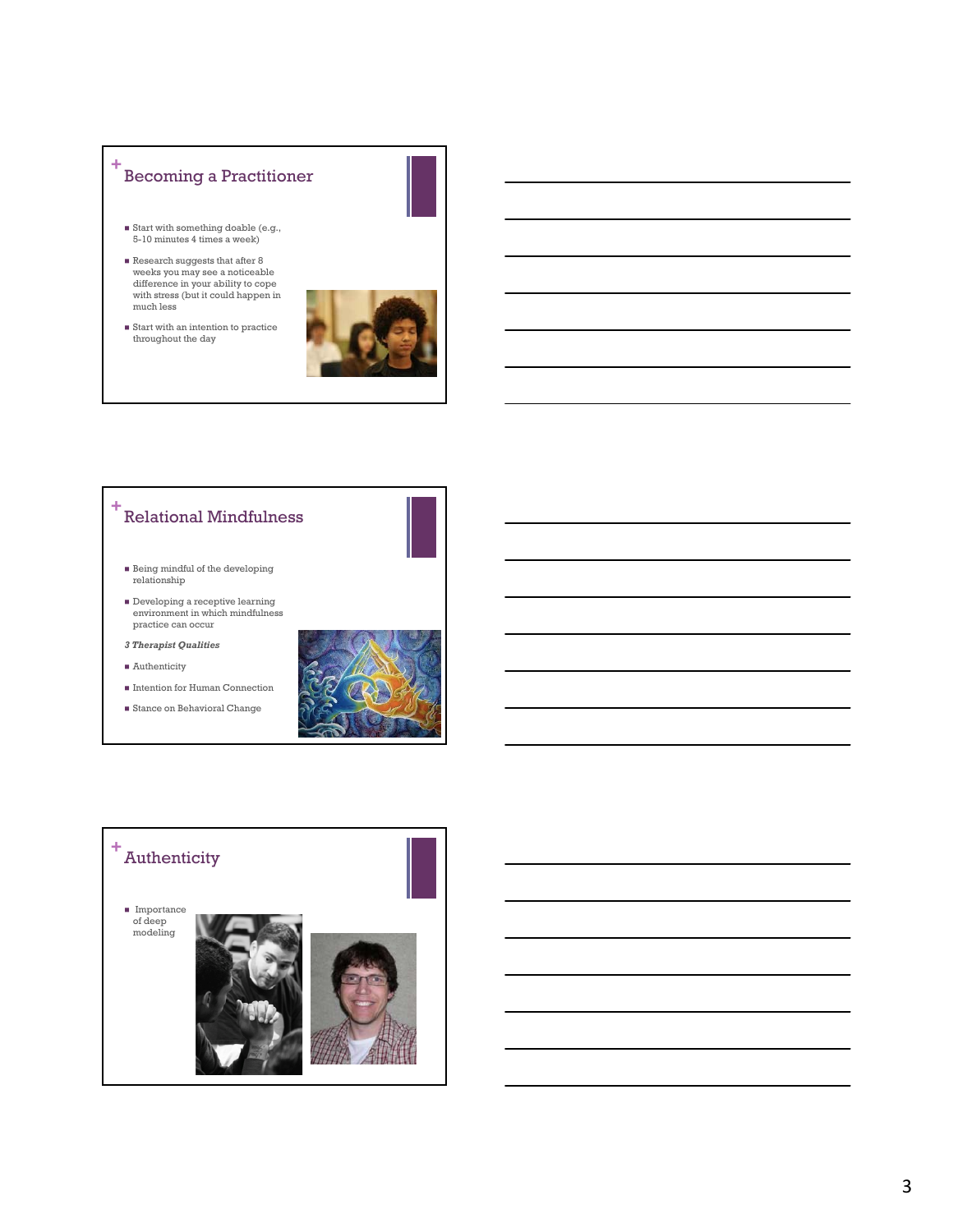## **+** Becoming a Practitioner

- Start with something doable (e.g., 5-10 minutes 4 times a week)
- Research suggests that after 8 weeks you may see a noticeable difference in your ability to cope with stress (but it could happen in much less



 $\blacksquare$  <br> Start with an intention to practice throughout the day

## **+** Relational Mindfulness

- Being mindful of the developing relationship
- Developing a receptive learning environment in which mindfulness practice can occur
- *3 Therapist Qualities*
- Authenticity
- Intention for Human Connection Stance on Behavioral Change
-